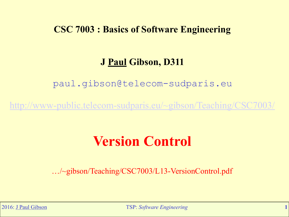### **CSC 7003 : Basics of Software Engineering**

### **J Paul Gibson, D311**

paul.gibson@telecom-sudparis.eu

<http://www-public.telecom-sudparis.eu/~gibson/Teaching/CSC7003/>

# **Version Control**

…/~gibson/Teaching/CSC7003/L13-VersionControl.pdf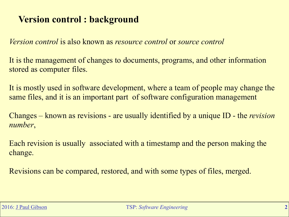## **Version control : background**

*Version control* is also known as *resource control* or *source control* 

It is the management of changes to documents, programs, and other information stored as computer files.

It is mostly used in software development, where a team of people may change the same files, and it is an important part of software configuration management

Changes – known as revisions - are usually identified by a unique ID - the *revision number*,

Each revision is usually associated with a timestamp and the person making the change.

Revisions can be compared, restored, and with some types of files, merged.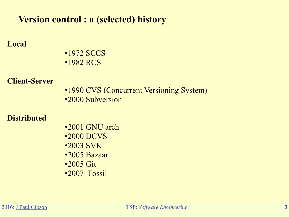### **Version control : a (selected) history**

### **Local**

•1972 SCCS •1982 RCS

### **Client-Server**

•1990 CVS (Concurrent Versioning System) •2000 Subversion

### **Distributed**

•2001 GNU arch •2000 DCVS •2003 SVK •2005 Bazaar •2005 Git •2007 Fossil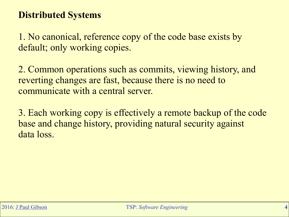### **Distributed Systems**

1. No canonical, reference copy of the code base exists by default; only working copies.

2. Common operations such as commits, viewing history, and reverting changes are fast, because there is no need to communicate with a central server.

3. Each working copy is effectively a remote backup of the code base and change history, providing natural security against data loss.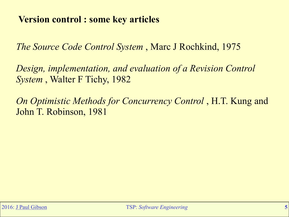### **Version control : some key articles**

*The Source Code Control System* , Marc J Rochkind, 1975

*Design, implementation, and evaluation of a Revision Control System* , Walter F Tichy, 1982

*On Optimistic Methods for Concurrency Control* , H.T. Kung and John T. Robinson, 1981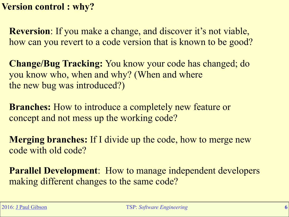**Version control : why?**

**Reversion**: If you make a change, and discover it's not viable, how can you revert to a code version that is known to be good?

**Change/Bug Tracking:** You know your code has changed; do you know who, when and why? (When and where the new bug was introduced?)

**Branches:** How to introduce a completely new feature or concept and not mess up the working code?

**Merging branches:** If I divide up the code, how to merge new code with old code?

**Parallel Development**: How to manage independent developers making different changes to the same code?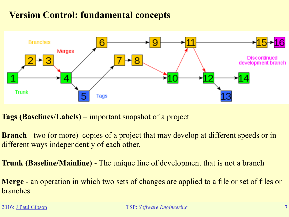### **Version Control: fundamental concepts**



**Tags (Baselines/Labels)** – important snapshot of a project

**Branch** - two (or more) copies of a project that may develop at different speeds or in different ways independently of each other.

**Trunk (Baseline/Mainline)** - The unique line of development that is not a branch

**Merge** - an operation in which two sets of changes are applied to a file or set of files or branches.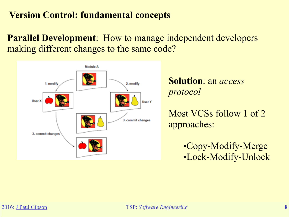### **Version Control: fundamental concepts**

**Parallel Development**: How to manage independent developers making different changes to the same code?



**Solution**: an *access protocol* 

Most VCSs follow 1 of 2 approaches:

> •Copy-Modify-Merge •Lock-Modify-Unlock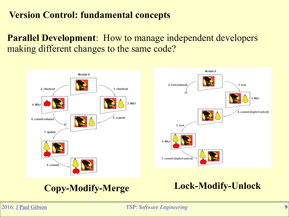### **Version Control: fundamental concepts**

**Parallel Development**: How to manage independent developers making different changes to the same code?



## **Copy-Modify-Merge Lock-Modify-Unlock**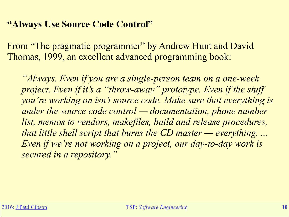### **"Always Use Source Code Control"**

From "The pragmatic programmer" by Andrew Hunt and David Thomas, 1999, an excellent advanced programming book:

*"Always. Even if you are a single-person team on a one-week project. Even if it's a "throw-away" prototype. Even if the stuff you're working on isn't source code. Make sure that everything is under the source code control — documentation, phone number list, memos to vendors, makefiles, build and release procedures, that little shell script that burns the CD master — everything. ... Even if we're not working on a project, our day-to-day work is secured in a repository."*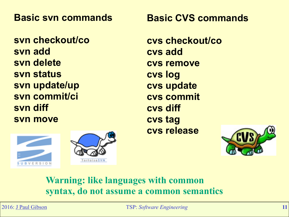**Basic svn commands** 

**svn checkout/co svn add svn delete svn status svn update/up svn commit/ci svn diff svn move** 

**Basic CVS commands** 

**cvs checkout/co cvs add cvs remove cvs log cvs update cvs commit cvs diff cvs tag cvs release** 



### **Warning: like languages with common syntax, do not assume a common semantics**

ortoiseSVN

UBVERSION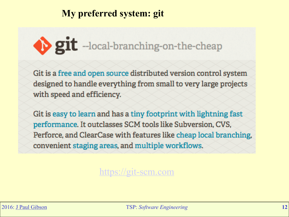### **My preferred system: git**

# git --local-branching-on-the-cheap

Git is a free and open source distributed version control system designed to handle everything from small to very large projects with speed and efficiency.

Git is easy to learn and has a tiny footprint with lightning fast performance. It outclasses SCM tools like Subversion, CVS, Perforce, and ClearCase with features like cheap local branching, convenient staging areas, and multiple workflows.

### <https://git-scm.com>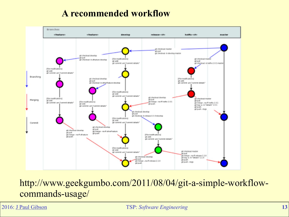### **A recommended workflow**



http://www.geekgumbo.com/2011/08/04/git-a-simple-workflowcommands-usage/